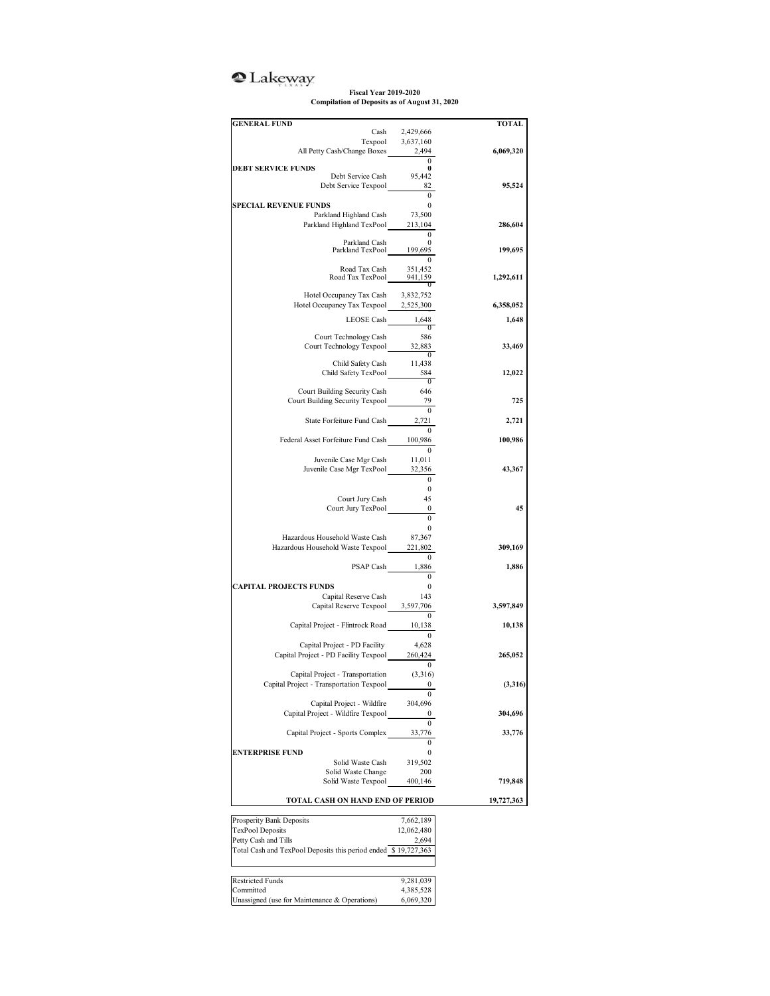## <sup>2</sup>Lakeway

**Fiscal Year 2019-2020 Compilation of Deposits as of August 31, 2020**

| <b>GENERAL FUND</b>                                            |                          | TOTAL     |
|----------------------------------------------------------------|--------------------------|-----------|
|                                                                | Cash<br>2,429,666        |           |
|                                                                | Texpool<br>3,637,160     |           |
| All Petty Cash/Change Boxes 2,494                              |                          | 6,069,320 |
| <b>DEBT SERVICE FUNDS</b>                                      | $\mathbf{0}$<br>0        |           |
| Debt Service Cash                                              | 95,442                   |           |
| Debt Service Texpool                                           | 82                       | 95,524    |
|                                                                | $\mathbf{0}$             |           |
| <b>SPECIAL REVENUE FUNDS</b>                                   | $\mathbf{0}$             |           |
| Parkland Highland Cash                                         | 73,500                   |           |
| Parkland Highland TexPool                                      | 213,104                  | 286,604   |
| Parkland Cash                                                  | 0<br>0                   |           |
| Parkland TexPool                                               | 199,695                  | 199,695   |
|                                                                |                          |           |
| Road Tax Cash                                                  | 351,452                  |           |
|                                                                | Road Tax TexPool 941,159 | 1,292,611 |
| Hotel Occupancy Tax Cash 3,832,752                             |                          |           |
| Hotel Occupancy Tax Texpool 2,525,300                          |                          | 6,358,052 |
|                                                                |                          |           |
|                                                                | LEOSE Cash 1,648         | 1,648     |
| Court Technology Cash                                          | 586                      |           |
| Court Technology Texpool                                       | 32,883                   | 33,469    |
|                                                                | $\overline{0}$           |           |
| Child Safety Cash                                              | 11,438                   |           |
| Child Safety TexPool                                           | 584                      | 12,022    |
|                                                                | $\bf{0}$                 |           |
| Court Building Security Cash                                   | 646                      |           |
| Court Building Security Texpool                                | 79                       | 725       |
|                                                                |                          |           |
| State Forfeiture Fund Cash 2,721                               |                          | 2,721     |
|                                                                |                          | 100,986   |
| Federal Asset Forfeiture Fund Cash                             | 100,986                  |           |
| Juvenile Case Mgr Cash                                         | 11,011                   |           |
| Juvenile Case Mgr TexPool                                      | 32,356                   | 43,367    |
|                                                                | $\mathbf{0}$             |           |
|                                                                | $\bf{0}$                 |           |
| Court Jury Cash                                                | 45                       |           |
| Court Jury TexPool                                             | $\bf{0}$                 | 45        |
|                                                                | $\mathbf{0}$             |           |
|                                                                | $\mathbf{0}$             |           |
| Hazardous Household Waste Cash                                 | 87,367                   |           |
| Hazardous Household Waste Texpool                              | 221,802                  | 309,169   |
|                                                                | $\mathbf{0}$             |           |
| PSAP Cash                                                      | 1,886                    | 1,886     |
|                                                                | $\Omega$                 |           |
| <b>CAPITAL PROJECTS FUNDS</b>                                  | 0                        |           |
| Capital Reserve Cash                                           | 143                      |           |
| Capital Reserve Texpool 3,597,706                              |                          | 3,597,849 |
|                                                                | 10,138                   |           |
| Capital Project - Flintrock Road                               | $\mathbf{0}$             | 10,138    |
| Capital Project - PD Facility                                  | 4,628                    |           |
| Capital Project - PD Facility Texpool                          | 260,424                  | 265,052   |
|                                                                | 0                        |           |
| Capital Project - Transportation                               | (3,316)                  |           |
| Capital Project - Transportation Texpool                       |                          | (3,316)   |
|                                                                |                          |           |
| Capital Project - Wildfire                                     | 304,696                  |           |
| Capital Project - Wildfire Texpool                             |                          | 304,696   |
|                                                                |                          |           |
| Capital Project - Sports Complex                               | 33,776                   | 33,776    |
|                                                                |                          |           |
| <b>ENTERPRISE FUND</b>                                         | 0                        |           |
| Solid Waste Cash                                               | 319,502                  |           |
| Solid Waste Change<br>Solid Waste Texpool                      | 200                      |           |
|                                                                | 400,146                  | 719,848   |
| TOTAL CASH ON HAND END OF PERIOD                               | 19,727,363               |           |
|                                                                |                          |           |
| Prosperity Bank Deposits                                       | 7,662,189                |           |
| <b>TexPool Deposits</b>                                        | 12,062,480               |           |
|                                                                | 2,694                    |           |
| Petty Cash and Tills                                           |                          |           |
| Total Cash and TexPool Deposits this period ended \$19,727,363 |                          |           |
|                                                                |                          |           |
|                                                                |                          |           |
| <b>Restricted Funds</b>                                        | 9,281,039                |           |
| Committed<br>Unassigned (use for Maintenance & Operations)     | 4,385,528<br>6,069,320   |           |